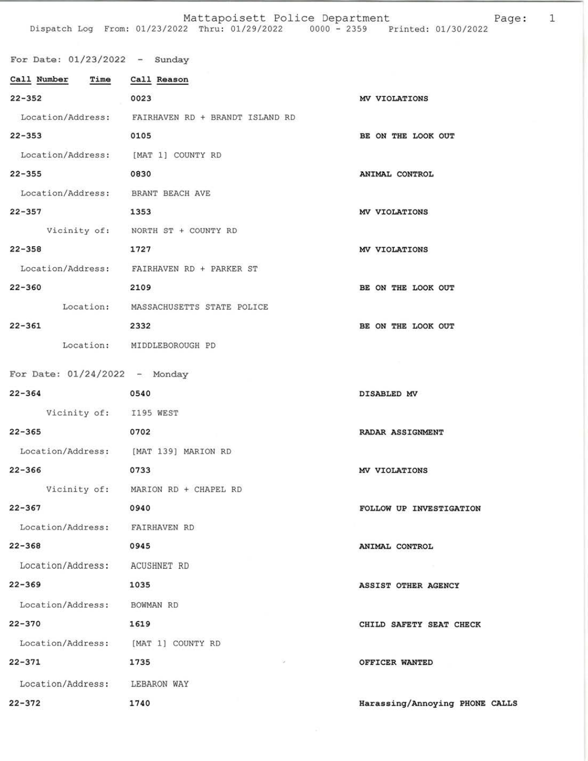| For Date: $01/23/2022 -$ Sunday       |                                                   |                                |
|---------------------------------------|---------------------------------------------------|--------------------------------|
| Call Number Time Call Reason          |                                                   |                                |
| $22 - 352$                            | 0023                                              | MV VIOLATIONS                  |
|                                       | Location/Address: FAIRHAVEN RD + BRANDT ISLAND RD |                                |
| $22 - 353$                            | 0105                                              | BE ON THE LOOK OUT             |
| Location/Address: [MAT 1] COUNTY RD   |                                                   |                                |
| $22 - 355$                            | 0830                                              | ANIMAL CONTROL                 |
| Location/Address: BRANT BEACH AVE     |                                                   |                                |
| 22-357 1353                           |                                                   | MV VIOLATIONS                  |
|                                       | Vicinity of: NORTH ST + COUNTY RD                 |                                |
| $22 - 358$                            | 1727                                              | MV VIOLATIONS                  |
|                                       | Location/Address: FAIRHAVEN RD + PARKER ST        |                                |
| $22 - 360$<br>2109                    |                                                   | BE ON THE LOOK OUT             |
|                                       | Location: MASSACHUSETTS STATE POLICE              |                                |
| $22 - 361$                            | 2332                                              | BE ON THE LOOK OUT             |
|                                       | Location: MIDDLEBOROUGH PD                        |                                |
|                                       |                                                   |                                |
| For Date: $01/24/2022 -$ Monday       |                                                   |                                |
| $22 - 364$                            | 0540                                              | DISABLED MV                    |
| Vicinity of: I195 WEST                |                                                   |                                |
| 22-365 0702                           |                                                   | RADAR ASSIGNMENT               |
| Location/Address: [MAT 139] MARION RD |                                                   |                                |
| $22 - 366$                            | 0733                                              | MV VIOLATIONS                  |
|                                       | Vicinity of: MARION RD + CHAPEL RD                |                                |
| $22 - 367$                            | 0940                                              | FOLLOW UP INVESTIGATION        |
| Location/Address: FAIRHAVEN RD        |                                                   |                                |
| $22 - 368$                            | 0945                                              | ANIMAL CONTROL                 |
| Location/Address: ACUSHNET RD         |                                                   |                                |
| $22 - 369$                            | 1035                                              | ASSIST OTHER AGENCY            |
| Location/Address: BOWMAN RD           |                                                   |                                |
| $22 - 370$                            | 1619                                              | CHILD SAFETY SEAT CHECK        |
| Location/Address: [MAT 1] COUNTY RD   |                                                   |                                |
| $22 - 371$                            | 1735                                              | OFFICER WANTED                 |
| Location/Address: LEBARON WAY         |                                                   |                                |
| $22 - 372$                            | 1740                                              | Harassing/Annoying PHONE CALLS |

Page:  $\mathbf 1$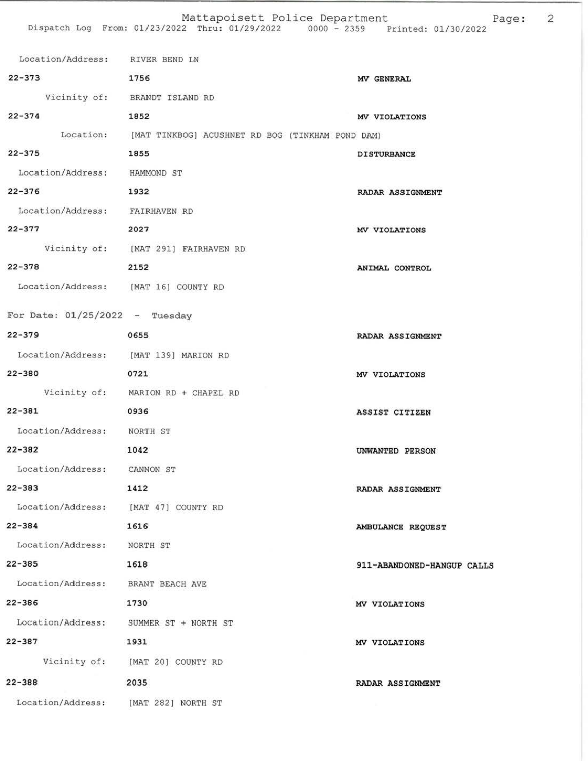| Location/Address: RIVER BEND LN        |                                                            |                            |
|----------------------------------------|------------------------------------------------------------|----------------------------|
| $22 - 373$                             | 1756                                                       | MV GENERAL                 |
|                                        | Vicinity of: BRANDT ISLAND RD                              |                            |
| $22 - 374$<br>1852                     |                                                            | MV VIOLATIONS              |
|                                        | Location: [MAT TINKBOG] ACUSHNET RD BOG (TINKHAM POND DAM) |                            |
| $22 - 375$                             | 1855                                                       | <b>DISTURBANCE</b>         |
| Location/Address: HAMMOND ST           |                                                            |                            |
| $22 - 376$<br>1932                     |                                                            | RADAR ASSIGNMENT           |
| Location/Address: FAIRHAVEN RD         |                                                            |                            |
| $22 - 377$                             | 2027                                                       | MV VIOLATIONS              |
|                                        | Vicinity of: [MAT 291] FAIRHAVEN RD                        |                            |
| 22-378 2152                            |                                                            | ANIMAL CONTROL             |
| Location/Address: [MAT 16] COUNTY RD   |                                                            |                            |
| For Date: $01/25/2022 - Tuesday$       |                                                            |                            |
| $22 - 379$                             | 0655                                                       | RADAR ASSIGNMENT           |
| Location/Address: [MAT 139] MARION RD  |                                                            |                            |
| $22 - 380$                             | 0721                                                       |                            |
|                                        | Vicinity of: MARION RD + CHAPEL RD                         | MV VIOLATIONS              |
| $22 - 381$                             | 0936                                                       | ASSIST CITIZEN             |
| Location/Address: NORTH ST             |                                                            |                            |
| 22-382                                 | 1042                                                       | UNWANTED PERSON            |
| Location/Address: CANNON ST            |                                                            |                            |
| $22 - 383$                             | 1412                                                       |                            |
| Location/Address: [MAT 47] COUNTY RD   |                                                            | RADAR ASSIGNMENT           |
| $22 - 384$                             | 1616                                                       |                            |
| Location/Address: NORTH ST             |                                                            | AMBULANCE REQUEST          |
| $22 - 385$                             | 1618                                                       | 911-ABANDONED-HANGUP CALLS |
| Location/Address: BRANT BEACH AVE      |                                                            |                            |
| $22 - 386$                             | 1730                                                       |                            |
| Location/Address: SUMMER ST + NORTH ST |                                                            | MV VIOLATIONS              |
| $22 - 387$                             | 1931                                                       |                            |
|                                        | Vicinity of: [MAT 20] COUNTY RD                            | MV VIOLATIONS              |
|                                        |                                                            |                            |
| $22 - 388$                             | 2035                                                       | RADAR ASSIGNMENT           |
| Location/Address: [MAT 282] NORTH ST   |                                                            |                            |

 $\sqrt{2}$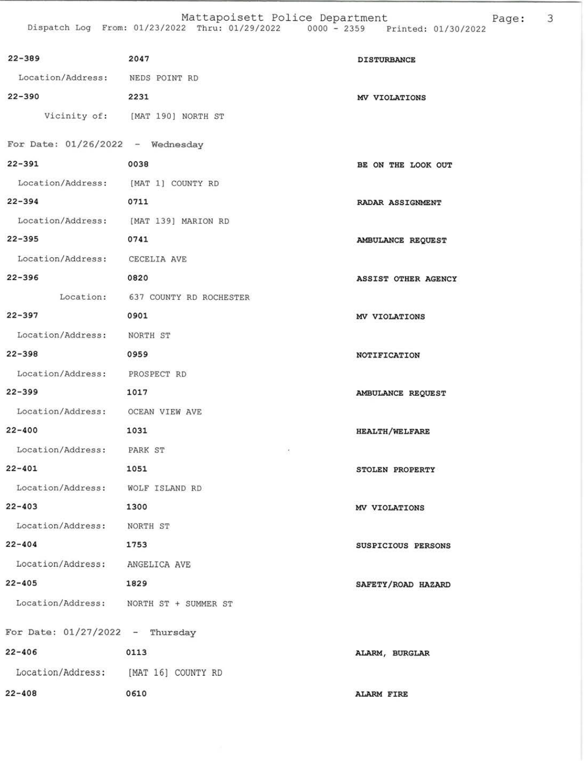| $22 - 389$                             | 2047                              | <b>DISTURBANCE</b>    |
|----------------------------------------|-----------------------------------|-----------------------|
| Location/Address: NEDS POINT RD        |                                   |                       |
| $22 - 390$                             | 2231                              | MV VIOLATIONS         |
|                                        | Vicinity of: [MAT 190] NORTH ST   |                       |
|                                        |                                   |                       |
| For Date: $01/26/2022 -$ Wednesday     |                                   |                       |
| $22 - 391$                             | 0038                              | BE ON THE LOOK OUT    |
| Location/Address: [MAT 1] COUNTY RD    |                                   |                       |
| $22 - 394$                             | 0711                              | RADAR ASSIGNMENT      |
| Location/Address: [MAT 139] MARION RD  |                                   |                       |
| $22 - 395$                             | 0741                              | AMBULANCE REQUEST     |
| Location/Address: CECELIA AVE          |                                   |                       |
| $22 - 396$                             | 0820                              | ASSIST OTHER AGENCY   |
|                                        | Location: 637 COUNTY RD ROCHESTER |                       |
| $22 - 397$                             | 0901                              | MV VIOLATIONS         |
| Location/Address: NORTH ST             |                                   |                       |
| $22 - 398$                             | 0959                              | NOTIFICATION          |
| Location/Address: PROSPECT RD          |                                   |                       |
| $22 - 399$                             | 1017                              | AMBULANCE REQUEST     |
| Location/Address: OCEAN VIEW AVE       |                                   |                       |
| $22 - 400$                             | 1031                              | <b>HEALTH/WELFARE</b> |
| Location/Address: PARK ST              | $\epsilon$                        |                       |
| $22 - 401$                             | 1051                              | STOLEN PROPERTY       |
| Location/Address: WOLF ISLAND RD       |                                   |                       |
| $22 - 403$                             | 1300                              | MV VIOLATIONS         |
| Location/Address: NORTH ST             |                                   |                       |
| $22 - 404$                             | 1753                              | SUSPICIOUS PERSONS    |
| Location/Address: ANGELICA AVE         |                                   |                       |
| $22 - 405$                             | 1829                              | SAFETY/ROAD HAZARD    |
| Location/Address: NORTH ST + SUMMER ST |                                   |                       |
| For Date: $01/27/2022 -$ Thursday      |                                   |                       |
| $22 - 406$                             | 0113                              | ALARM, BURGLAR        |
| Location/Address: [MAT 16] COUNTY RD   |                                   |                       |
|                                        |                                   |                       |
| $22 - 408$                             | 0610                              | <b>ALARM FIRE</b>     |

Page: 3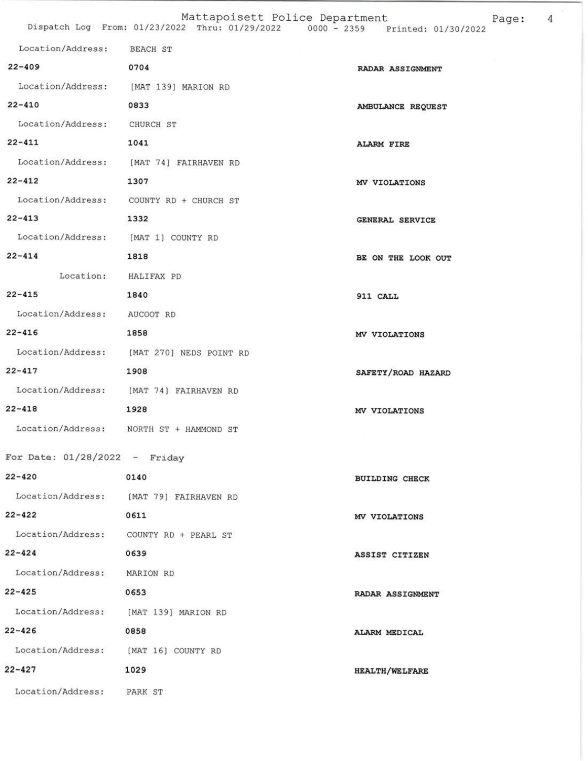|                                                |  | Mattapoisett Police Department |               |  |                     | Page |
|------------------------------------------------|--|--------------------------------|---------------|--|---------------------|------|
| Dispatch Log From: 01/23/2022 Thru: 01/29/2022 |  |                                | $0000 - 2359$ |  | Printed: 01/30/2022 |      |

| Location/Address: BEACH ST            |                                           |                         |
|---------------------------------------|-------------------------------------------|-------------------------|
| $22 - 409$<br>0704                    |                                           | <b>RADAR ASSIGNMENT</b> |
|                                       | Location/Address: [MAT 139] MARION RD     |                         |
| $22 - 410$                            | 0833                                      | AMBULANCE REQUEST       |
| Location/Address: CHURCH ST           |                                           |                         |
| $22 - 411$                            | 1041                                      | <b>ALARM FIRE</b>       |
|                                       | Location/Address: [MAT 74] FAIRHAVEN RD   |                         |
| $22 - 412$                            | 1307                                      | MV VIOLATIONS           |
|                                       | Location/Address: COUNTY RD + CHURCH ST   |                         |
| $22 - 413$                            | 1332                                      | <b>GENERAL SERVICE</b>  |
| Location/Address: [MAT 1] COUNTY RD   |                                           |                         |
| $22 - 414$                            | 1818                                      | BE ON THE LOOK OUT      |
| Location: HALIFAX PD                  |                                           |                         |
| $22 - 415$                            | 1840                                      | 911 CALL                |
| Location/Address: AUCOOT RD           |                                           |                         |
| $22 - 416$                            | 1858                                      | MV VIOLATIONS           |
|                                       | Location/Address: [MAT 270] NEDS POINT RD |                         |
| $22 - 417$                            | 1908                                      | SAFETY/ROAD HAZARD      |
|                                       | Location/Address: [MAT 74] FAIRHAVEN RD   |                         |
| $22 - 418$                            | 1928                                      | MV VIOLATIONS           |
|                                       | Location/Address: NORTH ST + HAMMOND ST   |                         |
| For Date: $01/28/2022 -$ Friday       |                                           |                         |
| $22 - 420$                            | 0140                                      | <b>BUILDING CHECK</b>   |
|                                       | Location/Address: [MAT 79] FAIRHAVEN RD   |                         |
| $22 - 422$                            | 0611                                      | MV VIOLATIONS           |
|                                       | Location/Address: COUNTY RD + PEARL ST    |                         |
| $22 - 424$                            | 0639                                      | ASSIST CITIZEN          |
| Location/Address: MARION RD           |                                           |                         |
| $22 - 425$                            | 0653                                      | <b>RADAR ASSIGNMENT</b> |
| Location/Address: [MAT 139] MARION RD |                                           |                         |
| $22 - 426$                            | 0858                                      | ALARM MEDICAL           |
| Location/Address: [MAT 16] COUNTY RD  |                                           |                         |
| $22 - 427$                            | 1029                                      | <b>HEALTH/WELFARE</b>   |
| Location/Address: PARK ST             |                                           |                         |
|                                       |                                           |                         |

 $ge: 4$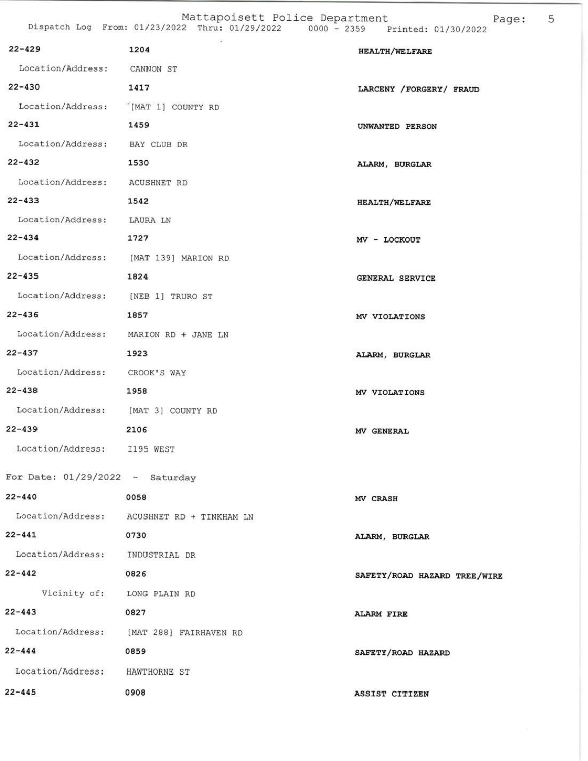Mattapoisett Police Department<br>Dispatch Log From: 01/23/2022 Thru: 01/29/2022 0000 - 2359 Printed: 01/30/2022 Page: 5

| $22 - 429$                          | 1204                                       | <b>HEALTH/WELFARE</b>        |
|-------------------------------------|--------------------------------------------|------------------------------|
| Location/Address: CANNON ST         |                                            |                              |
| $22 - 430$                          | 1417                                       | LARCENY /FORGERY/ FRAUD      |
| Location/Address: [MAT 1] COUNTY RD |                                            |                              |
| $22 - 431$                          | 1459                                       | UNWANTED PERSON              |
| Location/Address: BAY CLUB DR       |                                            |                              |
| $22 - 432$                          | 1530                                       | ALARM, BURGLAR               |
| Location/Address: ACUSHNET RD       |                                            |                              |
| $22 - 433$                          | 1542                                       | <b>HEALTH/WELFARE</b>        |
| Location/Address: LAURA LN          |                                            |                              |
| $22 - 434$                          | 1727                                       | MV - LOCKOUT                 |
|                                     | Location/Address: [MAT 139] MARION RD      |                              |
| $22 - 435$                          | 1824                                       | GENERAL SERVICE              |
| Location/Address: [NEB 1] TRURO ST  |                                            |                              |
| $22 - 436$                          | 1857                                       | MV VIOLATIONS                |
|                                     | Location/Address: MARION RD + JANE LN      |                              |
| $22 - 437$                          | 1923                                       | ALARM, BURGLAR               |
| Location/Address: CROOK'S WAY       |                                            |                              |
| $22 - 438$                          | 1958                                       | MV VIOLATIONS                |
| Location/Address: [MAT 3] COUNTY RD |                                            |                              |
| $22 - 439$                          | 2106                                       | MV GENERAL                   |
| Location/Address: I195 WEST         |                                            |                              |
| For Date: $01/29/2022 -$ Saturday   |                                            |                              |
| $22 - 440$                          | 0058                                       | MV CRASH                     |
|                                     | Location/Address: ACUSHNET RD + TINKHAM LN |                              |
| $22 - 441$                          | 0730                                       | ALARM, BURGLAR               |
| Location/Address: INDUSTRIAL DR     |                                            |                              |
| $22 - 442$                          | 0826                                       | SAFETY/ROAD HAZARD TREE/WIRE |
| Vicinity of: LONG PLAIN RD          |                                            |                              |
| $22 - 443$                          | 0827                                       | <b>ALARM FIRE</b>            |
|                                     | Location/Address: [MAT 288] FAIRHAVEN RD   |                              |
| $22 - 444$                          | 0859                                       | SAFETY/ROAD HAZARD           |
| Location/Address: HAWTHORNE ST      |                                            |                              |
| $22 - 445$                          | 0908                                       | ASSIST CITIZEN               |